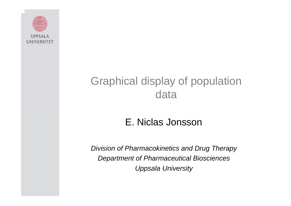

### Graphical display of population data

#### E. Niclas Jonsson

*Division of Pharmacokinetics and Drug Therapy Department of Pharmaceutical Biosciences Uppsala University*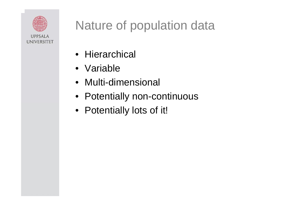

# Nature of population data

- Hierarchical
- •Variable
- •Multi-dimensional
- Potentially non-continuous
- Potentially lots of it!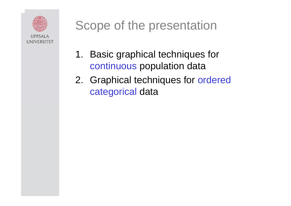

# Scope of the presentation

- 1. Basic graphical techniques for continuous population data
- 2. Graphical techniques for ordered categorical data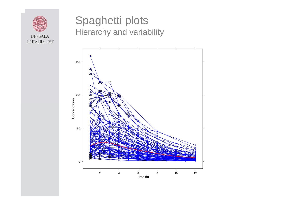

#### Spaghetti plots Hierarchy and variability

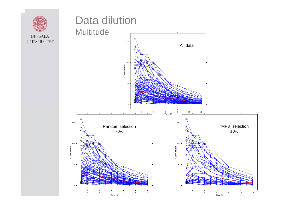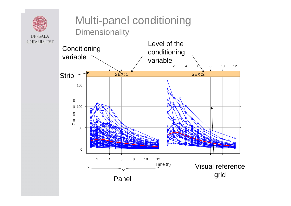

**UPPSALA**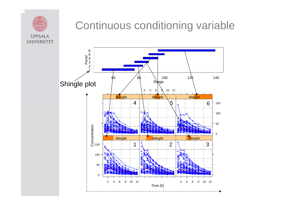

### Continuous conditioning variable

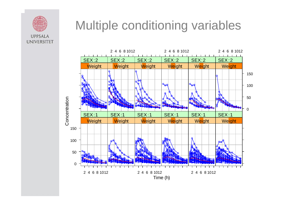

## Multiple conditioning variables

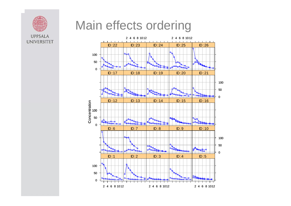### Main effects ordering



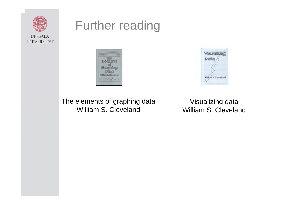

### Further reading





The elements of graphing data William S. Cleveland

Visualizing data William S. Cleveland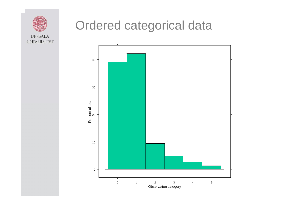

## Ordered categorical data

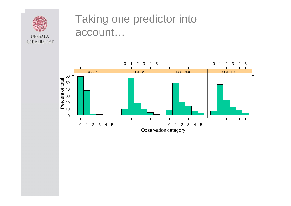

#### Taking one predictor into account…

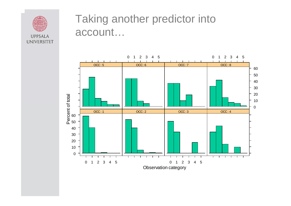

#### Taking another predictor into account…

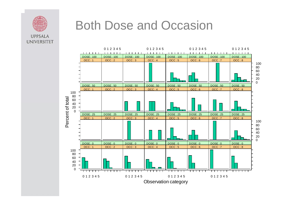

### Both Dose and Occasion

**UNIVERSITET** 

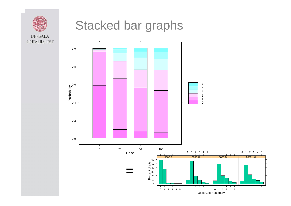

### Stacked bar graphs

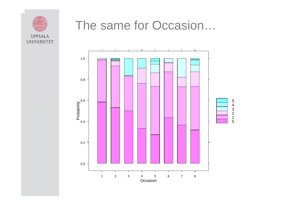

### The same for Occasion…

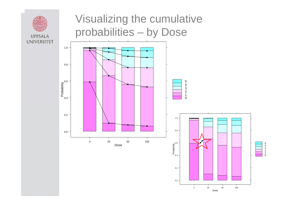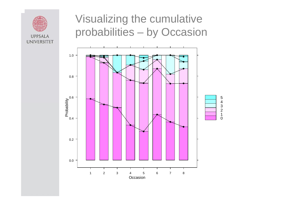

### Visualizing the cumulative probabilities – by Occasion

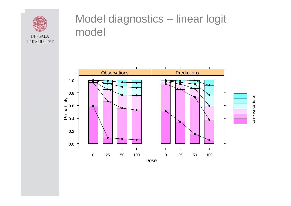

#### Model diagnostics – linear logit model

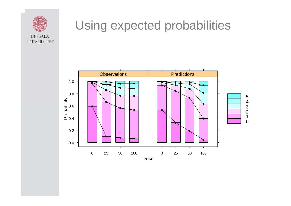

## Using expected probabilities

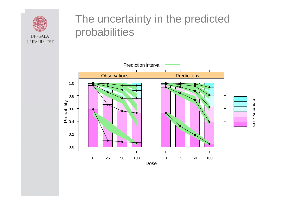

#### The uncertainty in the predicted probabilities

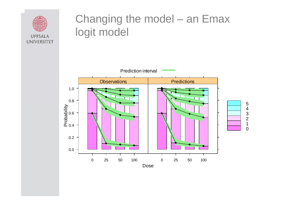

#### Changing the model – an Emax logit model

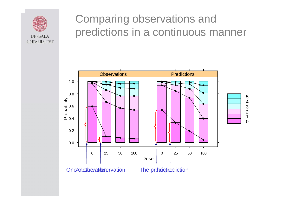

#### Comparing observations and predictions in a continuous manner



One obstanting contains on the operation

The prediction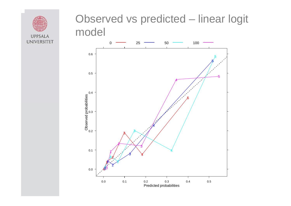

#### Observed vs predicted – linear logit model

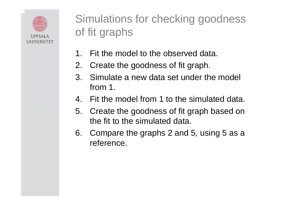

Simulations for checking goodness of fit graphs

- 1.Fit the model to the observed data.
- 2. Create the goodness of fit graph.
- 3. Simulate a new data set under the model from 1.
- 4. Fit the model from 1 to the simulated data.
- 5. Create the goodness of fit graph based on the fit to the simulated data.
- 6. Compare the graphs 2 and 5, using 5 as a reference.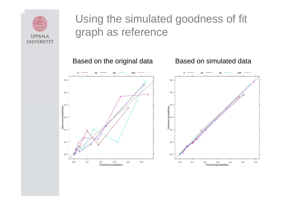

### Using the simulated goodness of fit graph as reference

Based on simulated data

Based on the original data

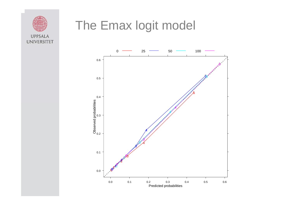

### The Emax logit model